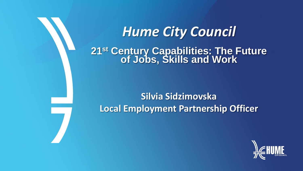*Hume City Council* **21st Century Capabilities: The Future of Jobs, Skills and Work**

# **Silvia Sidzimovska Local Employment Partnership Officer**

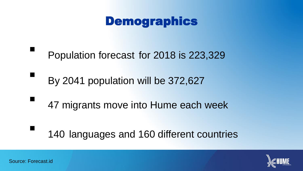### Demographics

- Population forecast for 2018 is 223,329
- By 2041 population will be 372,627
- 47 migrants move into Hume each week
	- <sup>140</sup> languages and 160 different countries

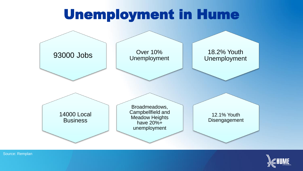## Unemployment in Hume





Source: Remplan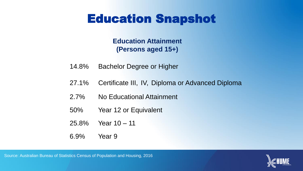### Education Snapshot

**Education Attainment (Persons aged 15+)**

- 14.8% Bachelor Degree or Higher
- 27.1% Certificate III, IV, Diploma or Advanced Diploma
- 2.7% No Educational Attainment
- 50% Year 12 or Equivalent
- 25.8% Year 10 11
- 6.9% Year 9

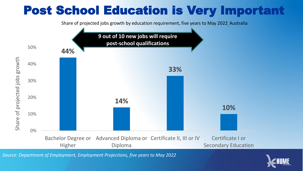## Post School Education is Very Important

Share of projected jobs growth by education requirement, five years to May 2022 Australia



*Source: Department of Employment, Employment Projections, five years to May 2022*

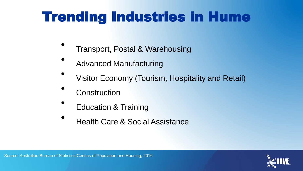# Trending Industries in Hume

- Transport, Postal & Warehousing
- Advanced Manufacturing
- Visitor Economy (Tourism, Hospitality and Retail)
- **Construction**
- Education & Training
- Health Care & Social Assistance

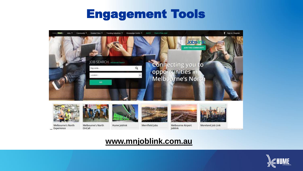### Engagement Tools



#### **www.mnjoblink.com.au**

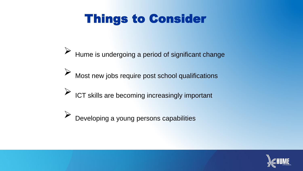## Things to Consider

- $\triangleright$  Hume is undergoing a period of significant change
- $\triangleright$  Most new jobs require post school qualifications
- $\triangleright$  ICT skills are becoming increasingly important
- Developing a young persons capabilities